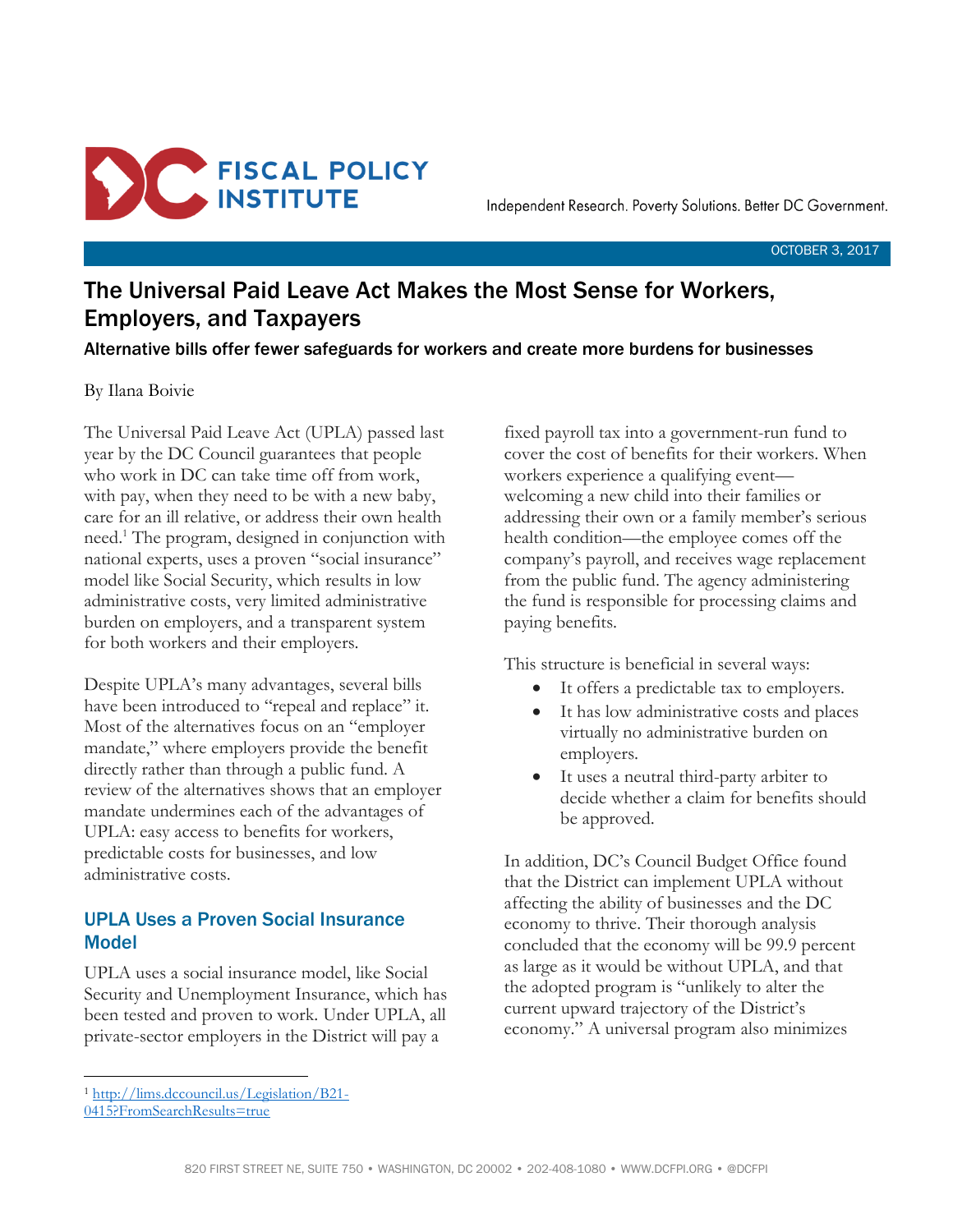

Independent Research. Poverty Solutions. Better DC Government.

OCTOBER 3, 2017

# The Universal Paid Leave Act Makes the Most Sense for Workers, Employers, and Taxpayers

Alternative bills offer fewer safeguards for workers and create more burdens for businesses

#### By Ilana Boivie

The Universal Paid Leave Act (UPLA) passed last year by the DC Council guarantees that people who work in DC can take time off from work, with pay, when they need to be with a new baby, care for an ill relative, or address their own health need. <sup>1</sup> The program, designed in conjunction with national experts, uses a proven "social insurance" model like Social Security, which results in low administrative costs, very limited administrative burden on employers, and a transparent system for both workers and their employers.

Despite UPLA's many advantages, several bills have been introduced to "repeal and replace" it. Most of the alternatives focus on an "employer mandate," where employers provide the benefit directly rather than through a public fund. A review of the alternatives shows that an employer mandate undermines each of the advantages of UPLA: easy access to benefits for workers, predictable costs for businesses, and low administrative costs.

#### UPLA Uses a Proven Social Insurance Model

UPLA uses a social insurance model, like Social Security and Unemployment Insurance, which has been tested and proven to work. Under UPLA, all private-sector employers in the District will pay a

fixed payroll tax into a government-run fund to cover the cost of benefits for their workers. When workers experience a qualifying event welcoming a new child into their families or addressing their own or a family member's serious health condition—the employee comes off the company's payroll, and receives wage replacement from the public fund. The agency administering the fund is responsible for processing claims and paying benefits.

This structure is beneficial in several ways:

- It offers a predictable tax to employers.
- It has low administrative costs and places virtually no administrative burden on employers.
- It uses a neutral third-party arbiter to decide whether a claim for benefits should be approved.

In addition, DC's Council Budget Office found that the District can implement UPLA without affecting the ability of businesses and the DC economy to thrive. Their thorough analysis concluded that the economy will be 99.9 percent as large as it would be without UPLA, and that the adopted program is "unlikely to alter the current upward trajectory of the District's economy." A universal program also minimizes

 $\overline{a}$ 

<sup>1</sup> [http://lims.dccouncil.us/Legislation/B21-](http://lims.dccouncil.us/Legislation/B21-0415?FromSearchResults=true)

[<sup>0415?</sup>FromSearchResults=true](http://lims.dccouncil.us/Legislation/B21-0415?FromSearchResults=true)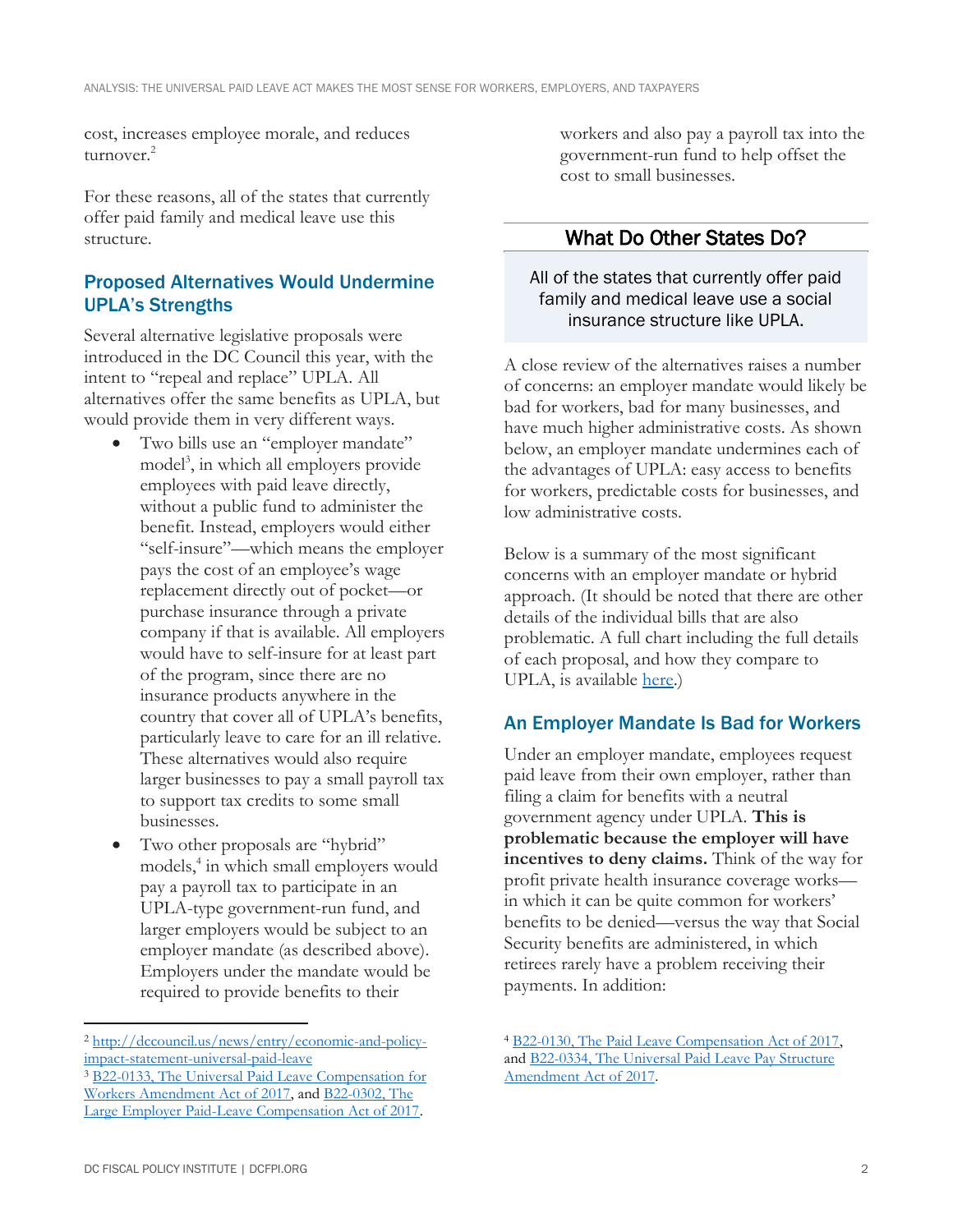cost, increases employee morale, and reduces turnover<sup>2</sup>

For these reasons, all of the states that currently offer paid family and medical leave use this structure.

#### Proposed Alternatives Would Undermine UPLA's Strengths

Several alternative legislative proposals were introduced in the DC Council this year, with the intent to "repeal and replace" UPLA. All alternatives offer the same benefits as UPLA, but would provide them in very different ways.

- Two bills use an "employer mandate" model<sup>3</sup> , in which all employers provide employees with paid leave directly, without a public fund to administer the benefit. Instead, employers would either "self-insure"—which means the employer pays the cost of an employee's wage replacement directly out of pocket—or purchase insurance through a private company if that is available. All employers would have to self-insure for at least part of the program, since there are no insurance products anywhere in the country that cover all of UPLA's benefits, particularly leave to care for an ill relative. These alternatives would also require larger businesses to pay a small payroll tax to support tax credits to some small businesses.
- Two other proposals are "hybrid" models,<sup>4</sup> in which small employers would pay a payroll tax to participate in an UPLA-type government-run fund, and larger employers would be subject to an employer mandate (as described above). Employers under the mandate would be required to provide benefits to their

workers and also pay a payroll tax into the government-run fund to help offset the cost to small businesses.

## What Do Other States Do?

All of the states that currently offer paid family and medical leave use a social insurance structure like UPLA.

A close review of the alternatives raises a number of concerns: an employer mandate would likely be bad for workers, bad for many businesses, and have much higher administrative costs. As shown below, an employer mandate undermines each of the advantages of UPLA: easy access to benefits for workers, predictable costs for businesses, and low administrative costs.

Below is a summary of the most significant concerns with an employer mandate or hybrid approach. (It should be noted that there are other details of the individual bills that are also problematic. A full chart including the full details of each proposal, and how they compare to UPLA, is available <u>here</u>.)

#### An Employer Mandate Is Bad for Workers

Under an employer mandate, employees request paid leave from their own employer, rather than filing a claim for benefits with a neutral government agency under UPLA. **This is problematic because the employer will have incentives to deny claims.** Think of the way for profit private health insurance coverage works in which it can be quite common for workers' benefits to be denied—versus the way that Social Security benefits are administered, in which retirees rarely have a problem receiving their payments. In addition:

 $\overline{a}$ 

<sup>2</sup> [http://dccouncil.us/news/entry/economic-and-policy](http://dccouncil.us/news/entry/economic-and-policy-impact-statement-universal-paid-leave)[impact-statement-universal-paid-leave](http://dccouncil.us/news/entry/economic-and-policy-impact-statement-universal-paid-leave)

<sup>3</sup> [B22-0133, The Universal Paid Leave Compensation for](http://lims.dccouncil.us/Legislation/B22-0133?FromSearchResults=true)  [Workers Amendment Act](http://lims.dccouncil.us/Legislation/B22-0133?FromSearchResults=true) of 2017, and [B22-0302, The](http://lims.dccouncil.us/Legislation/B22-0302?FromSearchResults=true)  [Large Employer Paid-Leave Compensation Act of 2017.](http://lims.dccouncil.us/Legislation/B22-0302?FromSearchResults=true)

<sup>4</sup> [B22-0130, The Paid Leave Compensation Act of 2017,](http://lims.dccouncil.us/Legislation/B22-0130?FromSearchResults=true)  an[d B22-0334, The Universal Paid Leave Pay Structure](http://lims.dccouncil.us/Legislation/B22-0334?FromSearchResults=true)  [Amendment Act of 2017.](http://lims.dccouncil.us/Legislation/B22-0334?FromSearchResults=true)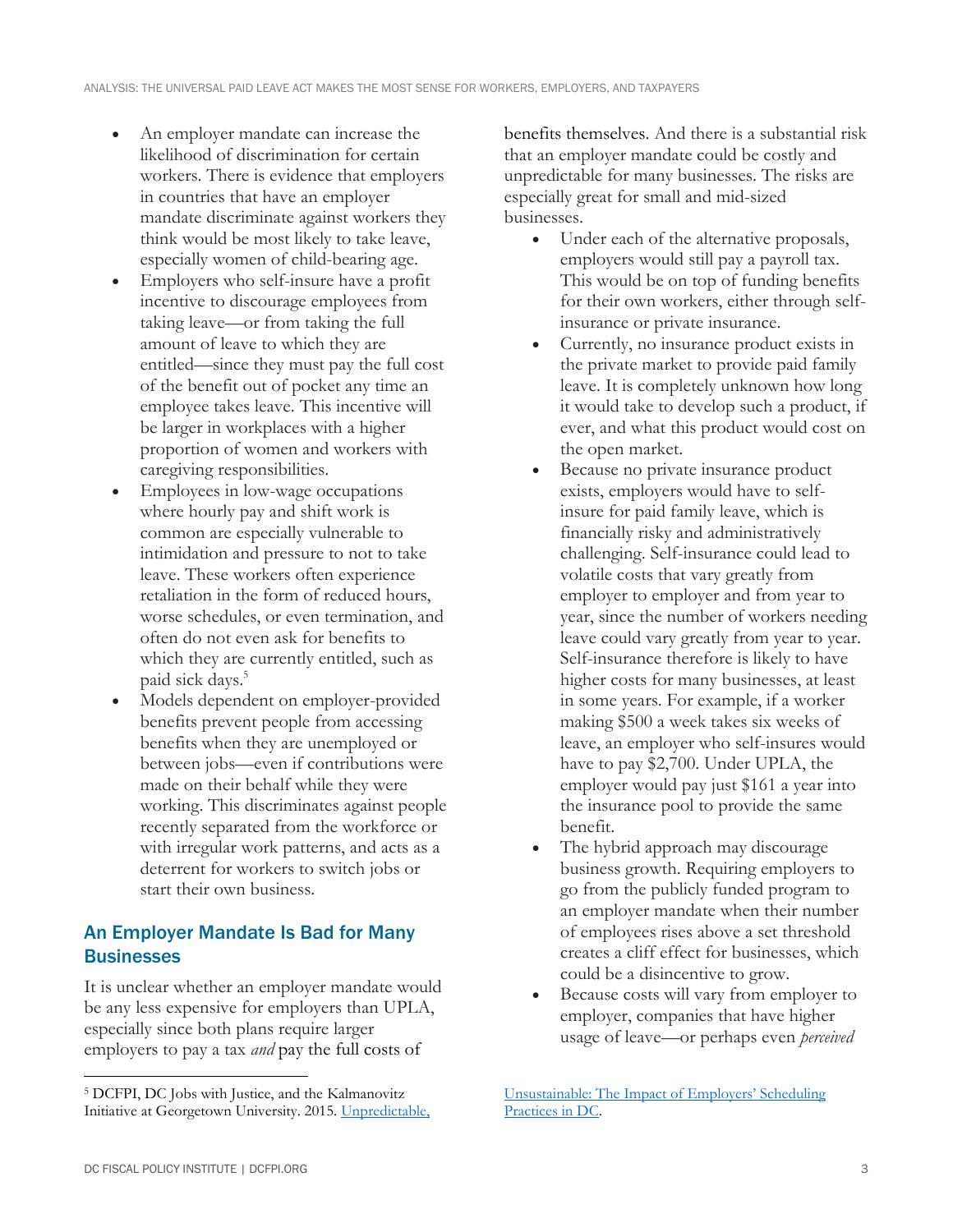- An employer mandate can increase the likelihood of discrimination for certain workers. There is evidence that employers in countries that have an employer mandate discriminate against workers they think would be most likely to take leave, especially women of child-bearing age.
- Employers who self-insure have a profit incentive to discourage employees from taking leave—or from taking the full amount of leave to which they are entitled—since they must pay the full cost of the benefit out of pocket any time an employee takes leave. This incentive will be larger in workplaces with a higher proportion of women and workers with caregiving responsibilities.
- Employees in low-wage occupations where hourly pay and shift work is common are especially vulnerable to intimidation and pressure to not to take leave. These workers often experience retaliation in the form of reduced hours, worse schedules, or even termination, and often do not even ask for benefits to which they are currently entitled, such as paid sick days.<sup>5</sup>
- Models dependent on employer-provided benefits prevent people from accessing benefits when they are unemployed or between jobs—even if contributions were made on their behalf while they were working. This discriminates against people recently separated from the workforce or with irregular work patterns, and acts as a deterrent for workers to switch jobs or start their own business.

#### An Employer Mandate Is Bad for Many **Businesses**

It is unclear whether an employer mandate would be any less expensive for employers than UPLA, especially since both plans require larger employers to pay a tax *and* pay the full costs of

benefits themselves. And there is a substantial risk that an employer mandate could be costly and unpredictable for many businesses. The risks are especially great for small and mid-sized businesses.

- Under each of the alternative proposals, employers would still pay a payroll tax. This would be on top of funding benefits for their own workers, either through selfinsurance or private insurance.
- Currently, no insurance product exists in the private market to provide paid family leave. It is completely unknown how long it would take to develop such a product, if ever, and what this product would cost on the open market.
- Because no private insurance product exists, employers would have to selfinsure for paid family leave, which is financially risky and administratively challenging. Self-insurance could lead to volatile costs that vary greatly from employer to employer and from year to year, since the number of workers needing leave could vary greatly from year to year. Self-insurance therefore is likely to have higher costs for many businesses, at least in some years. For example, if a worker making \$500 a week takes six weeks of leave, an employer who self-insures would have to pay \$2,700. Under UPLA, the employer would pay just \$161 a year into the insurance pool to provide the same benefit.
- The hybrid approach may discourage business growth. Requiring employers to go from the publicly funded program to an employer mandate when their number of employees rises above a set threshold creates a cliff effect for businesses, which could be a disincentive to grow.
- Because costs will vary from employer to employer, companies that have higher usage of leave—or perhaps even *perceived*

 $\overline{a}$ 

<sup>5</sup> DCFPI, DC Jobs with Justice, and the Kalmanovitz Initiative at Georgetown University. 2015. [Unpredictable,](http://www.dcfpi.org/unpredictable-unsustainable-the-impact-of-employers-scheduling-practices-in-dc) 

[Unsustainable: The Impact of Employers' Scheduling](http://www.dcfpi.org/unpredictable-unsustainable-the-impact-of-employers-scheduling-practices-in-dc)  [Practices in DC.](http://www.dcfpi.org/unpredictable-unsustainable-the-impact-of-employers-scheduling-practices-in-dc)